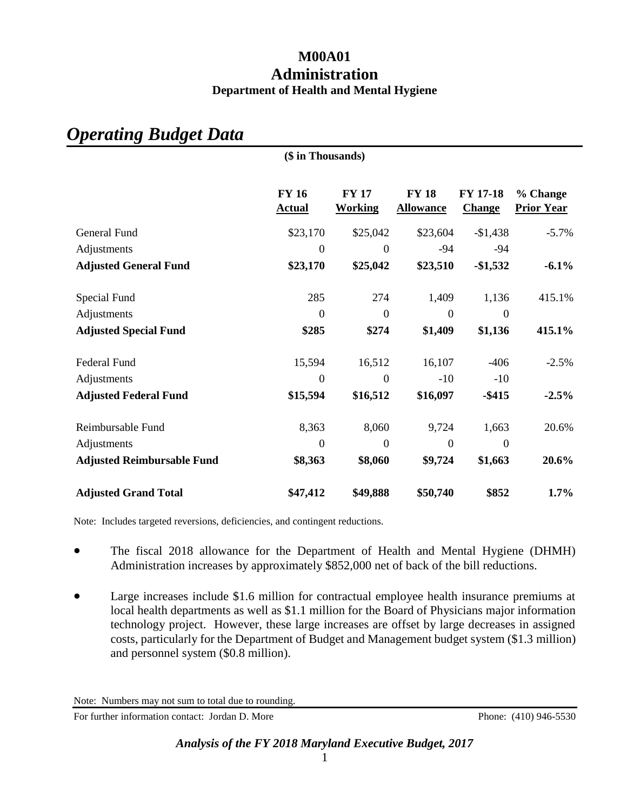# **M00A01 Administration Department of Health and Mental Hygiene**

| (\$ in Thousands)                 |                               |                                |                                  |                           |                               |  |  |
|-----------------------------------|-------------------------------|--------------------------------|----------------------------------|---------------------------|-------------------------------|--|--|
|                                   | <b>FY 16</b><br><b>Actual</b> | <b>FY 17</b><br><b>Working</b> | <b>FY 18</b><br><b>Allowance</b> | <b>FY 17-18</b><br>Change | % Change<br><b>Prior Year</b> |  |  |
| General Fund                      | \$23,170                      | \$25,042                       | \$23,604                         | $-$1,438$                 | $-5.7\%$                      |  |  |
| Adjustments                       | $\mathbf{0}$                  | $\boldsymbol{0}$               | $-94$                            | $-94$                     |                               |  |  |
| <b>Adjusted General Fund</b>      | \$23,170                      | \$25,042                       | \$23,510                         | $-6.1\%$                  |                               |  |  |
| Special Fund<br>Adjustments       | 285<br>$\mathbf{0}$           | 274<br>$\boldsymbol{0}$        | 1,409<br>$\boldsymbol{0}$        | 1,136<br>$\boldsymbol{0}$ | 415.1%                        |  |  |
| <b>Adjusted Special Fund</b>      | \$285                         | \$274                          | \$1,409                          | \$1,136                   | 415.1%                        |  |  |
| Federal Fund<br>Adjustments       | 15,594<br>$\boldsymbol{0}$    | 16,512<br>$\overline{0}$       | 16,107<br>$-10$                  | $-406$<br>$-10$           | $-2.5%$                       |  |  |
| <b>Adjusted Federal Fund</b>      | \$15,594                      | \$16,512                       | \$16,097                         | $-$ \$415                 | $-2.5%$                       |  |  |
| Reimbursable Fund                 | 8,363                         | 8,060                          | 9,724                            | 1,663                     | 20.6%                         |  |  |
| Adjustments                       | $\theta$                      | $\boldsymbol{0}$               | $\overline{0}$                   | $\overline{0}$            |                               |  |  |
| <b>Adjusted Reimbursable Fund</b> | \$8,363                       | \$8,060                        | \$9,724                          | \$1,663                   | 20.6%                         |  |  |
| <b>Adjusted Grand Total</b>       | \$47,412                      | \$49,888                       | \$50,740                         | \$852                     | 1.7%                          |  |  |

# *Operating Budget Data*

Note: Includes targeted reversions, deficiencies, and contingent reductions.

- The fiscal 2018 allowance for the Department of Health and Mental Hygiene (DHMH) Administration increases by approximately \$852,000 net of back of the bill reductions.
- Large increases include \$1.6 million for contractual employee health insurance premiums at local health departments as well as \$1.1 million for the Board of Physicians major information technology project. However, these large increases are offset by large decreases in assigned costs, particularly for the Department of Budget and Management budget system (\$1.3 million) and personnel system (\$0.8 million).

For further information contact: Jordan D. More Phone: (410) 946-5530

Note: Numbers may not sum to total due to rounding.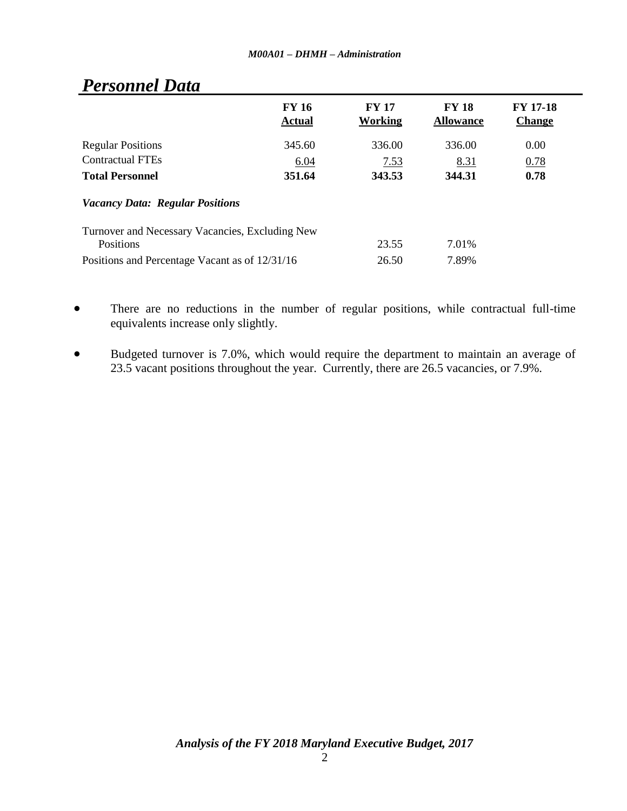|                                                              | <b>FY 16</b><br><b>Actual</b> | <b>FY 17</b><br>Working | <b>FY 18</b><br><b>Allowance</b> | <b>FY 17-18</b><br><b>Change</b> |
|--------------------------------------------------------------|-------------------------------|-------------------------|----------------------------------|----------------------------------|
| <b>Regular Positions</b>                                     | 345.60                        | 336.00                  | 336.00                           | 0.00                             |
| <b>Contractual FTEs</b>                                      | 6.04                          | 7.53                    | 8.31                             | 0.78                             |
| <b>Total Personnel</b>                                       | 351.64                        | 343.53                  | 344.31                           | 0.78                             |
| <b>Vacancy Data: Regular Positions</b>                       |                               |                         |                                  |                                  |
| Turnover and Necessary Vacancies, Excluding New<br>Positions |                               | 23.55                   | 7.01%                            |                                  |
| Positions and Percentage Vacant as of 12/31/16               |                               | 26.50                   | 7.89%                            |                                  |

# *Personnel Data*

- There are no reductions in the number of regular positions, while contractual full-time equivalents increase only slightly.
- Budgeted turnover is 7.0%, which would require the department to maintain an average of 23.5 vacant positions throughout the year. Currently, there are 26.5 vacancies, or 7.9%.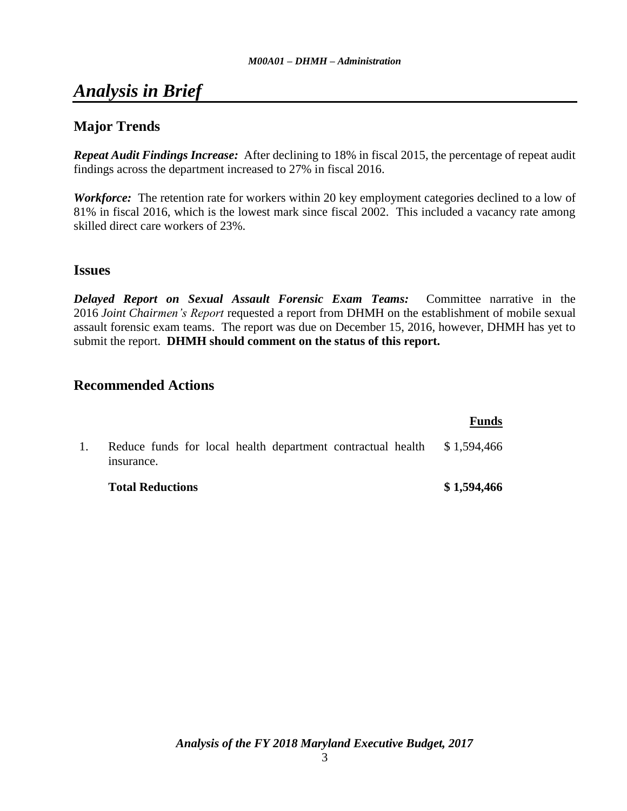# *Analysis in Brief*

# **Major Trends**

*Repeat Audit Findings Increase:* After declining to 18% in fiscal 2015, the percentage of repeat audit findings across the department increased to 27% in fiscal 2016.

*Workforce:* The retention rate for workers within 20 key employment categories declined to a low of 81% in fiscal 2016, which is the lowest mark since fiscal 2002. This included a vacancy rate among skilled direct care workers of 23%.

## **Issues**

*Delayed Report on Sexual Assault Forensic Exam Teams:* Committee narrative in the 2016 *Joint Chairmen's Report* requested a report from DHMH on the establishment of mobile sexual assault forensic exam teams. The report was due on December 15, 2016, however, DHMH has yet to submit the report. **DHMH should comment on the status of this report.**

# **Recommended Actions**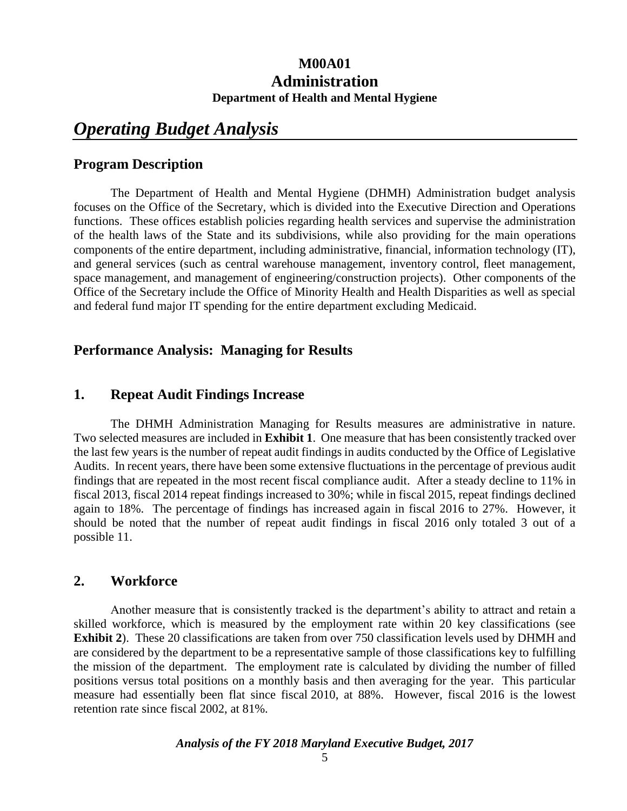# **M00A01 Administration Department of Health and Mental Hygiene**

# *Operating Budget Analysis*

## **Program Description**

The Department of Health and Mental Hygiene (DHMH) Administration budget analysis focuses on the Office of the Secretary, which is divided into the Executive Direction and Operations functions. These offices establish policies regarding health services and supervise the administration of the health laws of the State and its subdivisions, while also providing for the main operations components of the entire department, including administrative, financial, information technology (IT), and general services (such as central warehouse management, inventory control, fleet management, space management, and management of engineering/construction projects). Other components of the Office of the Secretary include the Office of Minority Health and Health Disparities as well as special and federal fund major IT spending for the entire department excluding Medicaid.

# **Performance Analysis: Managing for Results**

## **1. Repeat Audit Findings Increase**

The DHMH Administration Managing for Results measures are administrative in nature. Two selected measures are included in **Exhibit 1**. One measure that has been consistently tracked over the last few years is the number of repeat audit findings in audits conducted by the Office of Legislative Audits. In recent years, there have been some extensive fluctuations in the percentage of previous audit findings that are repeated in the most recent fiscal compliance audit. After a steady decline to 11% in fiscal 2013, fiscal 2014 repeat findings increased to 30%; while in fiscal 2015, repeat findings declined again to 18%. The percentage of findings has increased again in fiscal 2016 to 27%. However, it should be noted that the number of repeat audit findings in fiscal 2016 only totaled 3 out of a possible 11.

## **2. Workforce**

Another measure that is consistently tracked is the department's ability to attract and retain a skilled workforce, which is measured by the employment rate within 20 key classifications (see **Exhibit 2**). These 20 classifications are taken from over 750 classification levels used by DHMH and are considered by the department to be a representative sample of those classifications key to fulfilling the mission of the department. The employment rate is calculated by dividing the number of filled positions versus total positions on a monthly basis and then averaging for the year. This particular measure had essentially been flat since fiscal 2010, at 88%. However, fiscal 2016 is the lowest retention rate since fiscal 2002, at 81%.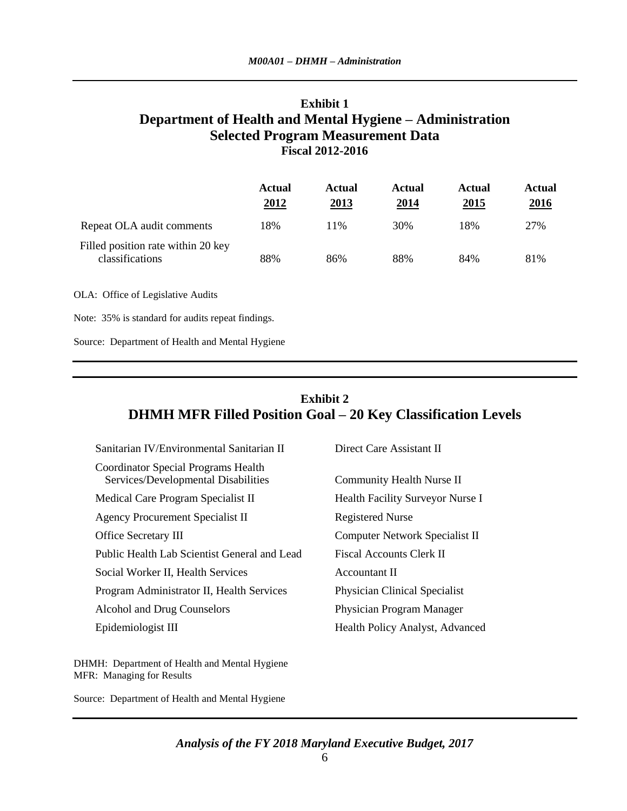# **Exhibit 1 Department of Health and Mental Hygiene – Administration Selected Program Measurement Data Fiscal 2012-2016**

|                                                       | <b>Actual</b><br>2012 | Actual<br>2013 | Actual<br>2014 | <b>Actual</b><br>2015 | Actual<br><u>2016</u> |
|-------------------------------------------------------|-----------------------|----------------|----------------|-----------------------|-----------------------|
| Repeat OLA audit comments                             | 18%                   | 11%            | 30%            | 18%                   | 27%                   |
| Filled position rate within 20 key<br>classifications | 88%                   | 86%            | 88%            | 84%                   | 81%                   |
| OLA: Office of Legislative Audits                     |                       |                |                |                       |                       |

Note: 35% is standard for audits repeat findings.

Source: Department of Health and Mental Hygiene

# **Exhibit 2 DHMH MFR Filled Position Goal – 20 Key Classification Levels**

| <b>Coordinator Special Programs Health</b>                                        |  |
|-----------------------------------------------------------------------------------|--|
| Services/Developmental Disabilities<br>Community Health Nurse II                  |  |
| Medical Care Program Specialist II<br>Health Facility Surveyor Nurse I            |  |
| <b>Agency Procurement Specialist II</b><br><b>Registered Nurse</b>                |  |
| <b>Office Secretary III</b><br>Computer Network Specialist II                     |  |
| Public Health Lab Scientist General and Lead<br><b>Fiscal Accounts Clerk II</b>   |  |
| Social Worker II, Health Services<br>Accountant II                                |  |
| Program Administrator II, Health Services<br><b>Physician Clinical Specialist</b> |  |
| Alcohol and Drug Counselors<br>Physician Program Manager                          |  |
| Epidemiologist III<br>Health Policy Analyst, Advanced                             |  |

DHMH: Department of Health and Mental Hygiene MFR: Managing for Results

Source: Department of Health and Mental Hygiene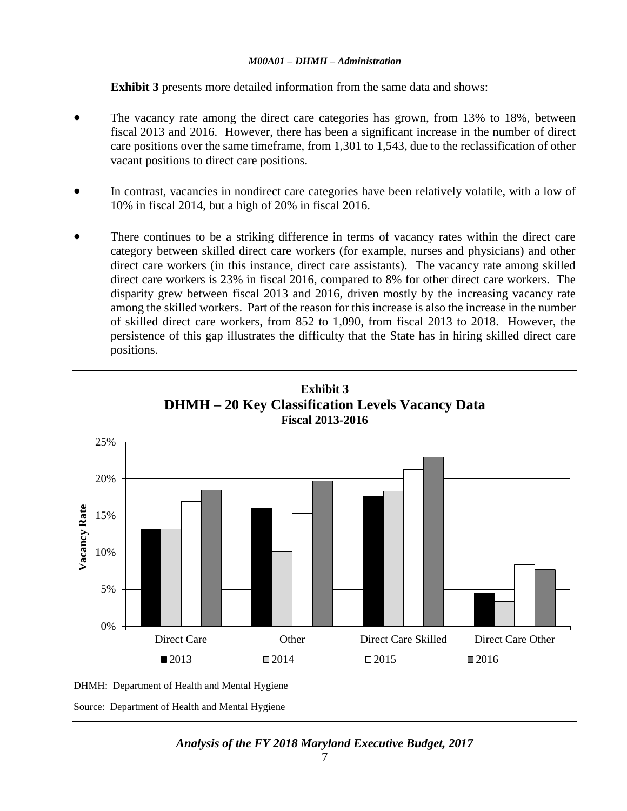**Exhibit 3** presents more detailed information from the same data and shows:

- The vacancy rate among the direct care categories has grown, from 13% to 18%, between fiscal 2013 and 2016. However, there has been a significant increase in the number of direct care positions over the same timeframe, from 1,301 to 1,543, due to the reclassification of other vacant positions to direct care positions.
- In contrast, vacancies in nondirect care categories have been relatively volatile, with a low of 10% in fiscal 2014, but a high of 20% in fiscal 2016.
- There continues to be a striking difference in terms of vacancy rates within the direct care category between skilled direct care workers (for example, nurses and physicians) and other direct care workers (in this instance, direct care assistants). The vacancy rate among skilled direct care workers is 23% in fiscal 2016, compared to 8% for other direct care workers. The disparity grew between fiscal 2013 and 2016, driven mostly by the increasing vacancy rate among the skilled workers. Part of the reason for this increase is also the increase in the number of skilled direct care workers, from 852 to 1,090, from fiscal 2013 to 2018. However, the persistence of this gap illustrates the difficulty that the State has in hiring skilled direct care positions.





DHMH: Department of Health and Mental Hygiene Source: Department of Health and Mental Hygiene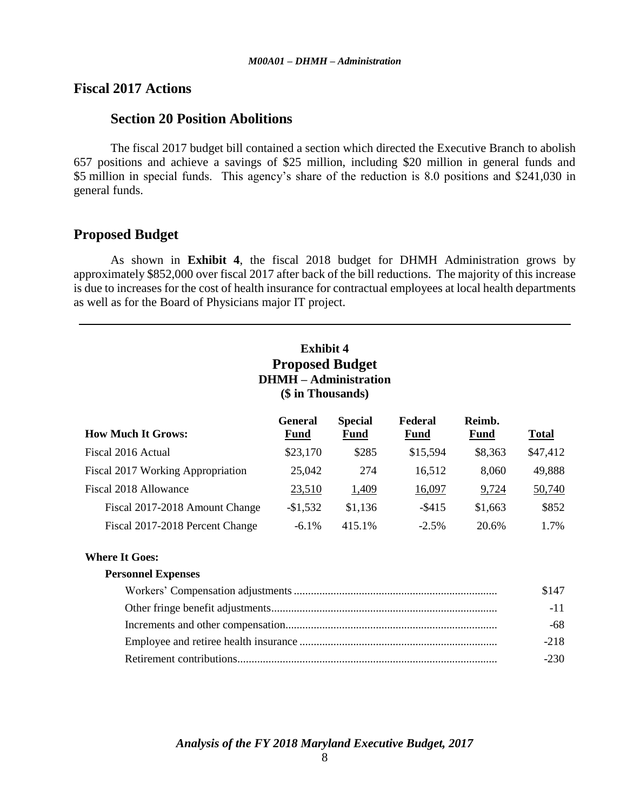## **Fiscal 2017 Actions**

## **Section 20 Position Abolitions**

The fiscal 2017 budget bill contained a section which directed the Executive Branch to abolish 657 positions and achieve a savings of \$25 million, including \$20 million in general funds and \$5 million in special funds. This agency's share of the reduction is 8.0 positions and \$241,030 in general funds.

## **Proposed Budget**

As shown in **Exhibit 4**, the fiscal 2018 budget for DHMH Administration grows by approximately \$852,000 over fiscal 2017 after back of the bill reductions. The majority of this increase is due to increases for the cost of health insurance for contractual employees at local health departments as well as for the Board of Physicians major IT project.

# **Exhibit 4 Proposed Budget DHMH – Administration (\$ in Thousands)**

| <b>How Much It Grows:</b>         | <b>General</b><br><b>Fund</b> | <b>Special</b><br><b>Fund</b> | Federal<br><b>Fund</b> | Reimb.<br><b>Fund</b> | <b>Total</b> |
|-----------------------------------|-------------------------------|-------------------------------|------------------------|-----------------------|--------------|
| Fiscal 2016 Actual                | \$23,170                      | \$285                         | \$15,594               | \$8,363               | \$47,412     |
| Fiscal 2017 Working Appropriation | 25,042                        | 274                           | 16,512                 | 8,060                 | 49,888       |
| Fiscal 2018 Allowance             | 23,510                        | 1,409                         | 16,097                 | 9,724                 | 50,740       |
| Fiscal 2017-2018 Amount Change    | $-$1,532$                     | \$1,136                       | $-$ \$415              | \$1,663               | \$852        |
| Fiscal 2017-2018 Percent Change   | $-6.1\%$                      | 415.1%                        | $-2.5\%$               | 20.6%                 | 1.7%         |

#### **Where It Goes:**

| <b>Personnel Expenses</b> |        |
|---------------------------|--------|
|                           | \$147  |
|                           | $-11$  |
|                           | -68    |
|                           | $-218$ |
|                           | $-230$ |
|                           |        |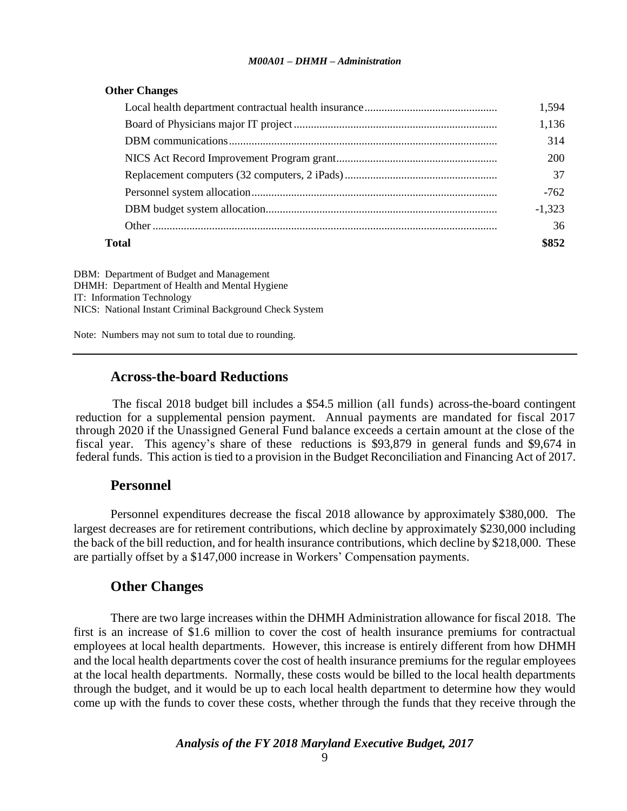| <b>Other Changes</b> |  |  |
|----------------------|--|--|
|                      |  |  |

|       | 1.594    |
|-------|----------|
|       | 1,136    |
|       | 314      |
|       | 200      |
|       | 37       |
|       | $-762$   |
|       | $-1.323$ |
|       | 36       |
| Total | \$852    |

DBM: Department of Budget and Management DHMH: Department of Health and Mental Hygiene IT: Information Technology NICS: National Instant Criminal Background Check System

Note: Numbers may not sum to total due to rounding.

#### **Across-the-board Reductions**

The fiscal 2018 budget bill includes a \$54.5 million (all funds) across-the-board contingent reduction for a supplemental pension payment. Annual payments are mandated for fiscal 2017 through 2020 if the Unassigned General Fund balance exceeds a certain amount at the close of the fiscal year. This agency's share of these reductions is \$93,879 in general funds and \$9,674 in federal funds. This action is tied to a provision in the Budget Reconciliation and Financing Act of 2017.

## **Personnel**

Personnel expenditures decrease the fiscal 2018 allowance by approximately \$380,000. The largest decreases are for retirement contributions, which decline by approximately \$230,000 including the back of the bill reduction, and for health insurance contributions, which decline by \$218,000. These are partially offset by a \$147,000 increase in Workers' Compensation payments.

## **Other Changes**

There are two large increases within the DHMH Administration allowance for fiscal 2018. The first is an increase of \$1.6 million to cover the cost of health insurance premiums for contractual employees at local health departments. However, this increase is entirely different from how DHMH and the local health departments cover the cost of health insurance premiums for the regular employees at the local health departments. Normally, these costs would be billed to the local health departments through the budget, and it would be up to each local health department to determine how they would come up with the funds to cover these costs, whether through the funds that they receive through the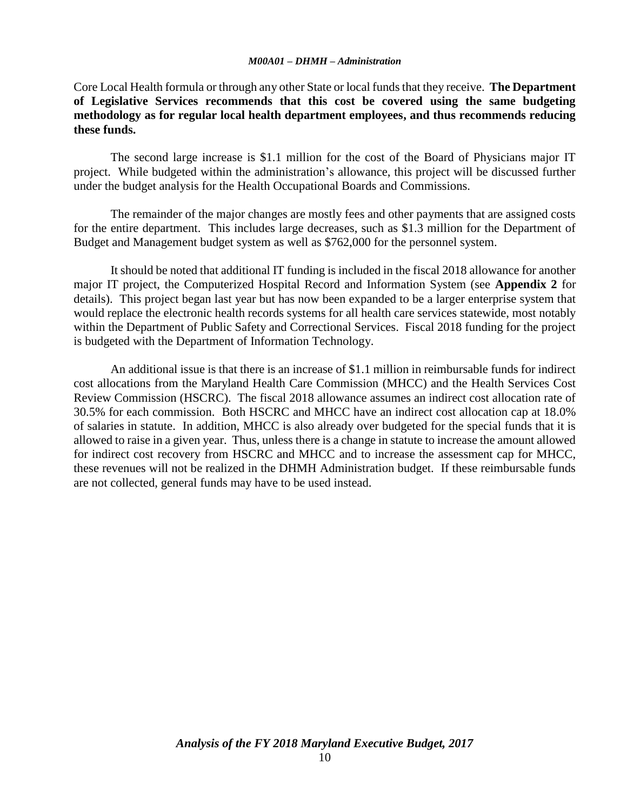Core Local Health formula or through any other State or local funds that they receive. **The Department of Legislative Services recommends that this cost be covered using the same budgeting methodology as for regular local health department employees, and thus recommends reducing these funds.**

The second large increase is \$1.1 million for the cost of the Board of Physicians major IT project. While budgeted within the administration's allowance, this project will be discussed further under the budget analysis for the Health Occupational Boards and Commissions.

The remainder of the major changes are mostly fees and other payments that are assigned costs for the entire department. This includes large decreases, such as \$1.3 million for the Department of Budget and Management budget system as well as \$762,000 for the personnel system.

It should be noted that additional IT funding is included in the fiscal 2018 allowance for another major IT project, the Computerized Hospital Record and Information System (see **Appendix 2** for details). This project began last year but has now been expanded to be a larger enterprise system that would replace the electronic health records systems for all health care services statewide, most notably within the Department of Public Safety and Correctional Services. Fiscal 2018 funding for the project is budgeted with the Department of Information Technology.

An additional issue is that there is an increase of \$1.1 million in reimbursable funds for indirect cost allocations from the Maryland Health Care Commission (MHCC) and the Health Services Cost Review Commission (HSCRC). The fiscal 2018 allowance assumes an indirect cost allocation rate of 30.5% for each commission. Both HSCRC and MHCC have an indirect cost allocation cap at 18.0% of salaries in statute. In addition, MHCC is also already over budgeted for the special funds that it is allowed to raise in a given year. Thus, unless there is a change in statute to increase the amount allowed for indirect cost recovery from HSCRC and MHCC and to increase the assessment cap for MHCC, these revenues will not be realized in the DHMH Administration budget. If these reimbursable funds are not collected, general funds may have to be used instead.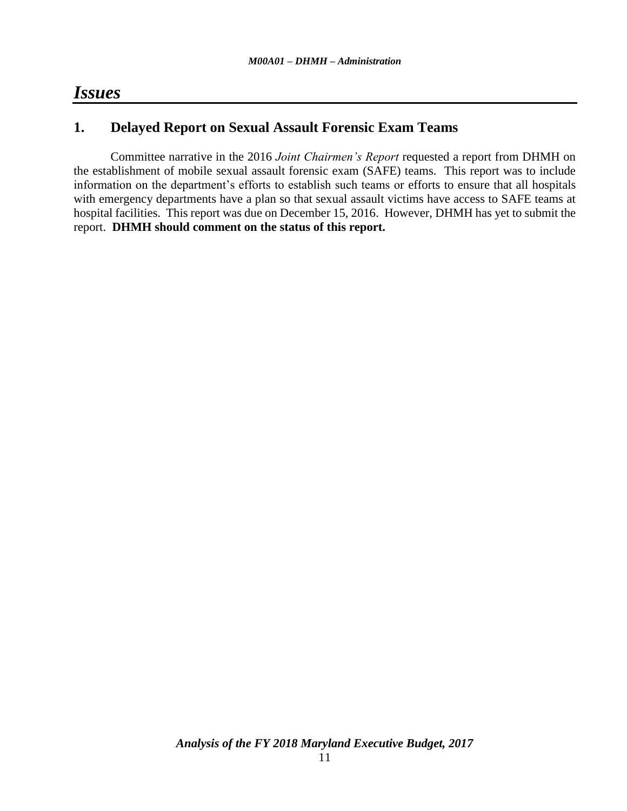# *Issues*

# **1. Delayed Report on Sexual Assault Forensic Exam Teams**

Committee narrative in the 2016 *Joint Chairmen's Report* requested a report from DHMH on the establishment of mobile sexual assault forensic exam (SAFE) teams. This report was to include information on the department's efforts to establish such teams or efforts to ensure that all hospitals with emergency departments have a plan so that sexual assault victims have access to SAFE teams at hospital facilities. This report was due on December 15, 2016. However, DHMH has yet to submit the report. **DHMH should comment on the status of this report.**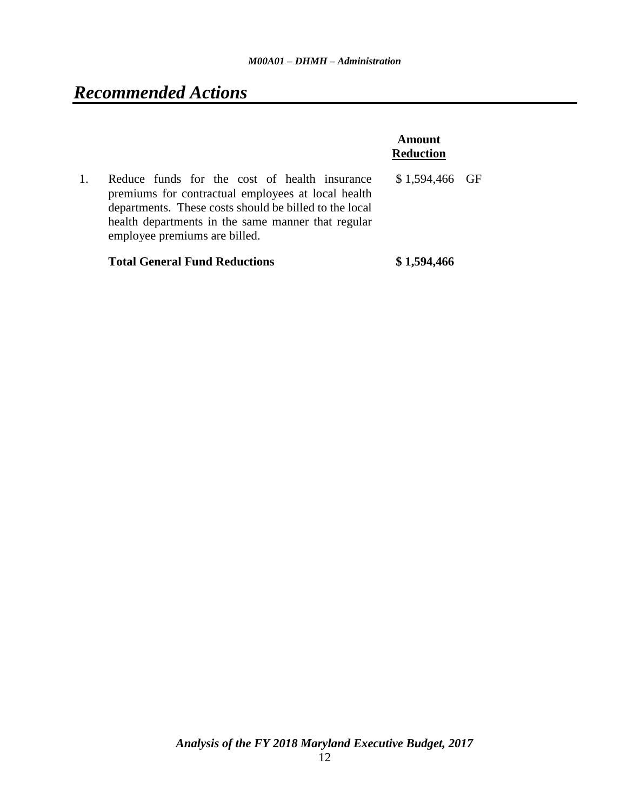# *Recommended Actions*

|                                                                                                                                                                                                                                                      | Amount<br><b>Reduction</b> |  |
|------------------------------------------------------------------------------------------------------------------------------------------------------------------------------------------------------------------------------------------------------|----------------------------|--|
| Reduce funds for the cost of health insurance<br>premiums for contractual employees at local health<br>departments. These costs should be billed to the local<br>health departments in the same manner that regular<br>employee premiums are billed. | $$1,594,466$ GF            |  |
| <b>Total General Fund Reductions</b>                                                                                                                                                                                                                 | \$1,594,466                |  |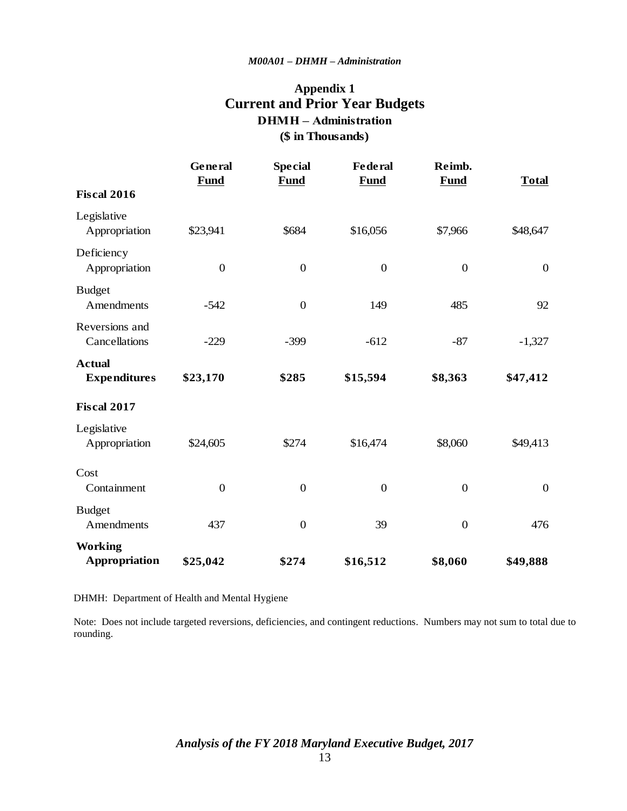# **Appendix 1 Current and Prior Year Budgets (\$ in Thousands) DHMH – Administration**

|                                      | General<br><b>Fund</b> | <b>Special</b><br><b>Fund</b> | <b>Federal</b><br><b>Fund</b> | Reimb.<br><b>Fund</b> | <b>Total</b>     |
|--------------------------------------|------------------------|-------------------------------|-------------------------------|-----------------------|------------------|
| <b>Fiscal 2016</b>                   |                        |                               |                               |                       |                  |
| Legislative<br>Appropriation         | \$23,941               | \$684                         | \$16,056                      | \$7,966               | \$48,647         |
| Deficiency<br>Appropriation          | $\boldsymbol{0}$       | $\boldsymbol{0}$              | $\boldsymbol{0}$              | $\boldsymbol{0}$      | $\boldsymbol{0}$ |
| <b>Budget</b><br>Amendments          | $-542$                 | $\boldsymbol{0}$              | 149                           | 485                   | 92               |
| Reversions and<br>Cancellations      | $-229$                 | $-399$                        | $-612$                        | $-87$                 | $-1,327$         |
| <b>Actual</b><br><b>Expenditures</b> | \$23,170               | \$285                         | \$15,594                      | \$8,363               | \$47,412         |
| <b>Fiscal 2017</b>                   |                        |                               |                               |                       |                  |
| Legislative<br>Appropriation         | \$24,605               | \$274                         | \$16,474                      | \$8,060               | \$49,413         |
| Cost<br>Containment                  | $\overline{0}$         | $\overline{0}$                | $\boldsymbol{0}$              | $\boldsymbol{0}$      | $\overline{0}$   |
| <b>Budget</b><br>Amendments          | 437                    | $\overline{0}$                | 39                            | $\boldsymbol{0}$      | 476              |
| <b>Working</b><br>Appropriation      | \$25,042               | \$274                         | \$16,512                      | \$8,060               | \$49,888         |

DHMH: Department of Health and Mental Hygiene

Note: Does not include targeted reversions, deficiencies, and contingent reductions. Numbers may not sum to total due to rounding.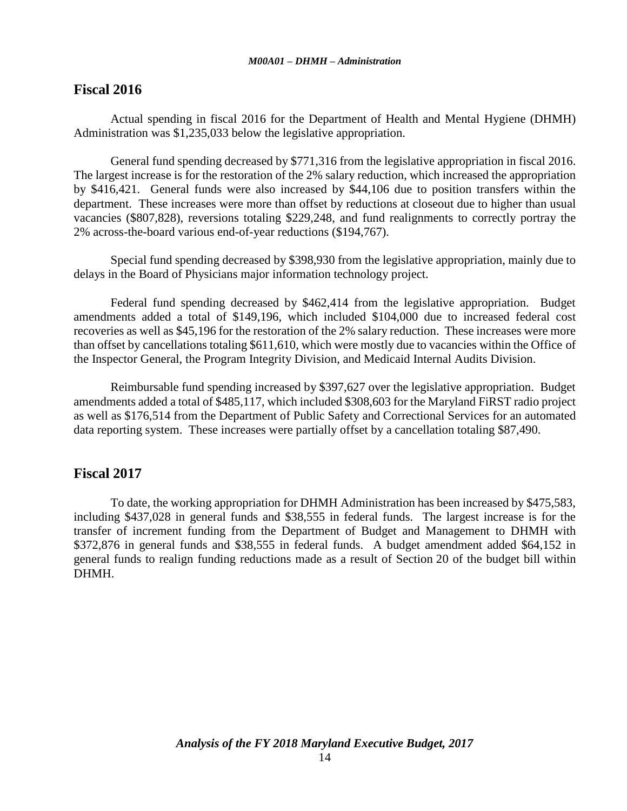## **Fiscal 2016**

Actual spending in fiscal 2016 for the Department of Health and Mental Hygiene (DHMH) Administration was \$1,235,033 below the legislative appropriation.

General fund spending decreased by \$771,316 from the legislative appropriation in fiscal 2016. The largest increase is for the restoration of the 2% salary reduction, which increased the appropriation by \$416,421. General funds were also increased by \$44,106 due to position transfers within the department. These increases were more than offset by reductions at closeout due to higher than usual vacancies (\$807,828), reversions totaling \$229,248, and fund realignments to correctly portray the 2% across-the-board various end-of-year reductions (\$194,767).

Special fund spending decreased by \$398,930 from the legislative appropriation, mainly due to delays in the Board of Physicians major information technology project.

Federal fund spending decreased by \$462,414 from the legislative appropriation. Budget amendments added a total of \$149,196, which included \$104,000 due to increased federal cost recoveries as well as \$45,196 for the restoration of the 2% salary reduction. These increases were more than offset by cancellations totaling \$611,610, which were mostly due to vacancies within the Office of the Inspector General, the Program Integrity Division, and Medicaid Internal Audits Division.

Reimbursable fund spending increased by \$397,627 over the legislative appropriation. Budget amendments added a total of \$485,117, which included \$308,603 for the Maryland FiRST radio project as well as \$176,514 from the Department of Public Safety and Correctional Services for an automated data reporting system. These increases were partially offset by a cancellation totaling \$87,490.

# **Fiscal 2017**

To date, the working appropriation for DHMH Administration has been increased by \$475,583, including \$437,028 in general funds and \$38,555 in federal funds. The largest increase is for the transfer of increment funding from the Department of Budget and Management to DHMH with \$372,876 in general funds and \$38,555 in federal funds. A budget amendment added \$64,152 in general funds to realign funding reductions made as a result of Section 20 of the budget bill within DHMH.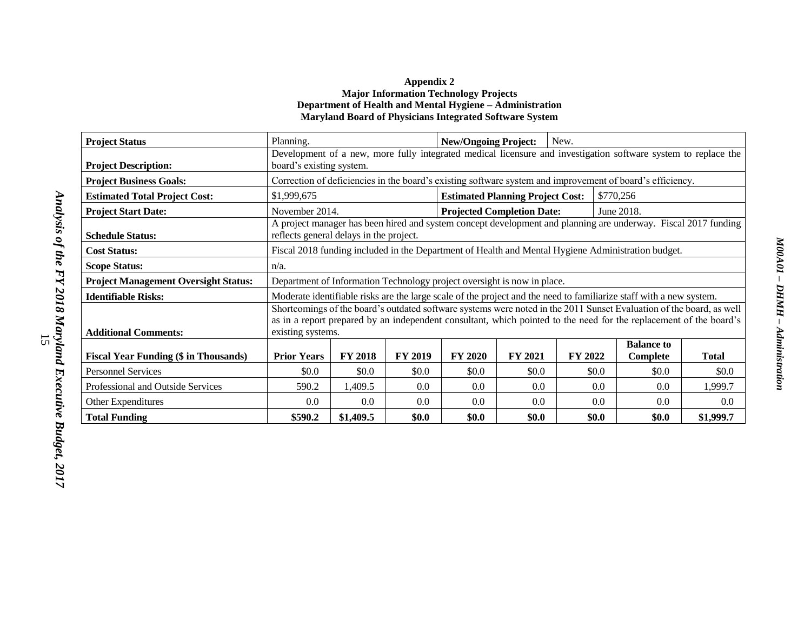#### **Appendix 2 Major Information Technology Projects Department of Health and Mental Hygiene – Administration Maryland Board of Physicians Integrated Software System**

| <b>Project Status</b>                        | Planning.                                                                                                                                                                                                                                                       |                |                | <b>New/Ongoing Project:</b>             |                | New.    |           |                                                                                                                |              |
|----------------------------------------------|-----------------------------------------------------------------------------------------------------------------------------------------------------------------------------------------------------------------------------------------------------------------|----------------|----------------|-----------------------------------------|----------------|---------|-----------|----------------------------------------------------------------------------------------------------------------|--------------|
| <b>Project Description:</b>                  | board's existing system.                                                                                                                                                                                                                                        |                |                |                                         |                |         |           | Development of a new, more fully integrated medical licensure and investigation software system to replace the |              |
| <b>Project Business Goals:</b>               |                                                                                                                                                                                                                                                                 |                |                |                                         |                |         |           | Correction of deficiencies in the board's existing software system and improvement of board's efficiency.      |              |
| <b>Estimated Total Project Cost:</b>         | \$1,999,675                                                                                                                                                                                                                                                     |                |                | <b>Estimated Planning Project Cost:</b> |                |         | \$770,256 |                                                                                                                |              |
| <b>Project Start Date:</b>                   | November 2014.                                                                                                                                                                                                                                                  |                |                | <b>Projected Completion Date:</b>       |                |         |           | June 2018.                                                                                                     |              |
| <b>Schedule Status:</b>                      | reflects general delays in the project.                                                                                                                                                                                                                         |                |                |                                         |                |         |           | A project manager has been hired and system concept development and planning are underway. Fiscal 2017 funding |              |
| <b>Cost Status:</b>                          |                                                                                                                                                                                                                                                                 |                |                |                                         |                |         |           | Fiscal 2018 funding included in the Department of Health and Mental Hygiene Administration budget.             |              |
| <b>Scope Status:</b>                         | $n/a$ .                                                                                                                                                                                                                                                         |                |                |                                         |                |         |           |                                                                                                                |              |
| <b>Project Management Oversight Status:</b>  | Department of Information Technology project oversight is now in place.                                                                                                                                                                                         |                |                |                                         |                |         |           |                                                                                                                |              |
| <b>Identifiable Risks:</b>                   | Moderate identifiable risks are the large scale of the project and the need to familiarize staff with a new system.                                                                                                                                             |                |                |                                         |                |         |           |                                                                                                                |              |
| <b>Additional Comments:</b>                  | Shortcomings of the board's outdated software systems were noted in the 2011 Sunset Evaluation of the board, as well<br>as in a report prepared by an independent consultant, which pointed to the need for the replacement of the board's<br>existing systems. |                |                |                                         |                |         |           |                                                                                                                |              |
|                                              |                                                                                                                                                                                                                                                                 |                |                |                                         |                |         |           | <b>Balance to</b>                                                                                              |              |
| <b>Fiscal Year Funding (\$ in Thousands)</b> | <b>Prior Years</b>                                                                                                                                                                                                                                              | <b>FY 2018</b> | <b>FY 2019</b> | <b>FY 2020</b>                          | <b>FY 2021</b> | FY 2022 |           | Complete                                                                                                       | <b>Total</b> |
| <b>Personnel Services</b>                    | \$0.0                                                                                                                                                                                                                                                           | \$0.0          | \$0.0\$        | \$0.0\$                                 | \$0.0          |         | \$0.0\$   | \$0.0                                                                                                          | \$0.0        |
| Professional and Outside Services            | 590.2                                                                                                                                                                                                                                                           | 1,409.5        | 0.0            | 0.0                                     | 0.0            |         | 0.0       | $0.0\,$                                                                                                        | 1,999.7      |
| Other Expenditures                           | 0.0                                                                                                                                                                                                                                                             | 0.0            | 0.0            | $0.0\,$                                 | $0.0\,$        |         | 0.0       | 0.0                                                                                                            | 0.0          |
| <b>Total Funding</b>                         | \$590.2                                                                                                                                                                                                                                                         | \$1,409.5      | \$0.0          | \$0.0                                   | \$0.0          |         | \$0.0     | \$0.0                                                                                                          | \$1,999.7    |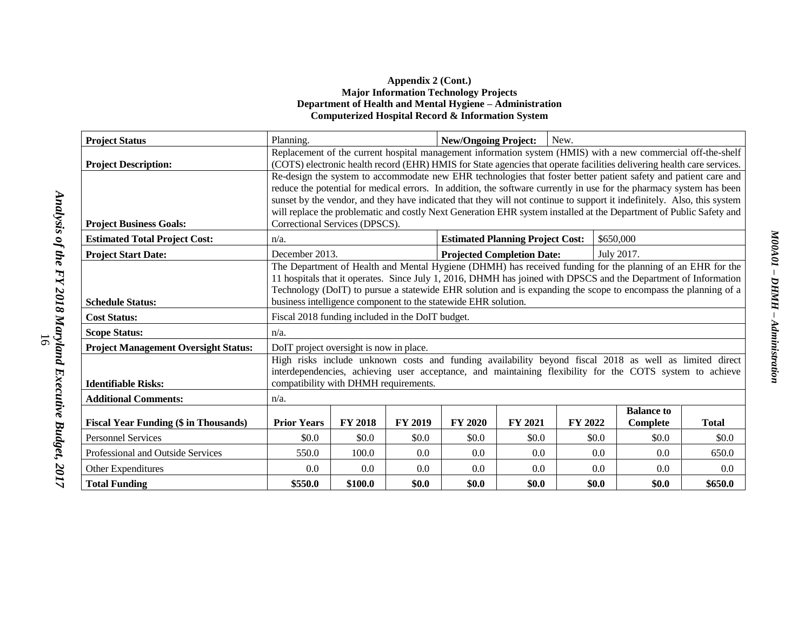#### **Appendix 2 (Cont.) Major Information Technology Projects Department of Health and Mental Hygiene – Administration Computerized Hospital Record & Information System**

| <b>Project Status</b>                        | Planning.                                                                                                                                             |                |         | <b>New/Ongoing Project:</b>             |                                   | New.    |           |                   |              |  |
|----------------------------------------------|-------------------------------------------------------------------------------------------------------------------------------------------------------|----------------|---------|-----------------------------------------|-----------------------------------|---------|-----------|-------------------|--------------|--|
|                                              | Replacement of the current hospital management information system (HMIS) with a new commercial off-the-shelf                                          |                |         |                                         |                                   |         |           |                   |              |  |
| <b>Project Description:</b>                  | (COTS) electronic health record (EHR) HMIS for State agencies that operate facilities delivering health care services.                                |                |         |                                         |                                   |         |           |                   |              |  |
|                                              | Re-design the system to accommodate new EHR technologies that foster better patient safety and patient care and                                       |                |         |                                         |                                   |         |           |                   |              |  |
|                                              | reduce the potential for medical errors. In addition, the software currently in use for the pharmacy system has been                                  |                |         |                                         |                                   |         |           |                   |              |  |
|                                              | sunset by the vendor, and they have indicated that they will not continue to support it indefinitely. Also, this system                               |                |         |                                         |                                   |         |           |                   |              |  |
| <b>Project Business Goals:</b>               | will replace the problematic and costly Next Generation EHR system installed at the Department of Public Safety and<br>Correctional Services (DPSCS). |                |         |                                         |                                   |         |           |                   |              |  |
| <b>Estimated Total Project Cost:</b>         | $n/a$ .                                                                                                                                               |                |         | <b>Estimated Planning Project Cost:</b> |                                   |         | \$650,000 |                   |              |  |
| <b>Project Start Date:</b>                   |                                                                                                                                                       | December 2013. |         |                                         | <b>Projected Completion Date:</b> |         |           | July 2017.        |              |  |
|                                              | The Department of Health and Mental Hygiene (DHMH) has received funding for the planning of an EHR for the                                            |                |         |                                         |                                   |         |           |                   |              |  |
|                                              | 11 hospitals that it operates. Since July 1, 2016, DHMH has joined with DPSCS and the Department of Information                                       |                |         |                                         |                                   |         |           |                   |              |  |
|                                              | Technology (DoIT) to pursue a statewide EHR solution and is expanding the scope to encompass the planning of a                                        |                |         |                                         |                                   |         |           |                   |              |  |
| <b>Schedule Status:</b>                      | business intelligence component to the statewide EHR solution.                                                                                        |                |         |                                         |                                   |         |           |                   |              |  |
| <b>Cost Status:</b>                          | Fiscal 2018 funding included in the DoIT budget.                                                                                                      |                |         |                                         |                                   |         |           |                   |              |  |
| <b>Scope Status:</b>                         | $n/a$ .                                                                                                                                               |                |         |                                         |                                   |         |           |                   |              |  |
| <b>Project Management Oversight Status:</b>  | DoIT project oversight is now in place.                                                                                                               |                |         |                                         |                                   |         |           |                   |              |  |
|                                              | High risks include unknown costs and funding availability beyond fiscal 2018 as well as limited direct                                                |                |         |                                         |                                   |         |           |                   |              |  |
|                                              | interdependencies, achieving user acceptance, and maintaining flexibility for the COTS system to achieve                                              |                |         |                                         |                                   |         |           |                   |              |  |
| <b>Identifiable Risks:</b>                   | compatibility with DHMH requirements.                                                                                                                 |                |         |                                         |                                   |         |           |                   |              |  |
| <b>Additional Comments:</b>                  | $n/a$ .                                                                                                                                               |                |         |                                         |                                   |         |           |                   |              |  |
|                                              |                                                                                                                                                       |                |         |                                         |                                   |         |           | <b>Balance to</b> |              |  |
| <b>Fiscal Year Funding (\$ in Thousands)</b> | <b>Prior Years</b>                                                                                                                                    | <b>FY 2018</b> | FY 2019 | <b>FY 2020</b>                          | <b>FY 2021</b>                    | FY 2022 |           | Complete          | <b>Total</b> |  |
| <b>Personnel Services</b>                    | \$0.0                                                                                                                                                 | \$0.0          | \$0.0   | \$0.0\$                                 | \$0.0                             |         | \$0.0     | \$0.0             | \$0.0        |  |
| Professional and Outside Services            | 550.0                                                                                                                                                 | 100.0          | 0.0     | 0.0                                     | 0.0                               |         | 0.0       | 0.0               | 650.0        |  |
| Other Expenditures                           | 0.0                                                                                                                                                   | 0.0            | 0.0     | 0.0                                     | 0.0                               |         | 0.0       | 0.0               | 0.0          |  |
| <b>Total Funding</b>                         | \$550.0                                                                                                                                               | \$100.0        | \$0.0   | \$0.0                                   | \$0.0                             |         | \$0.0     | \$0.0             | \$650.0      |  |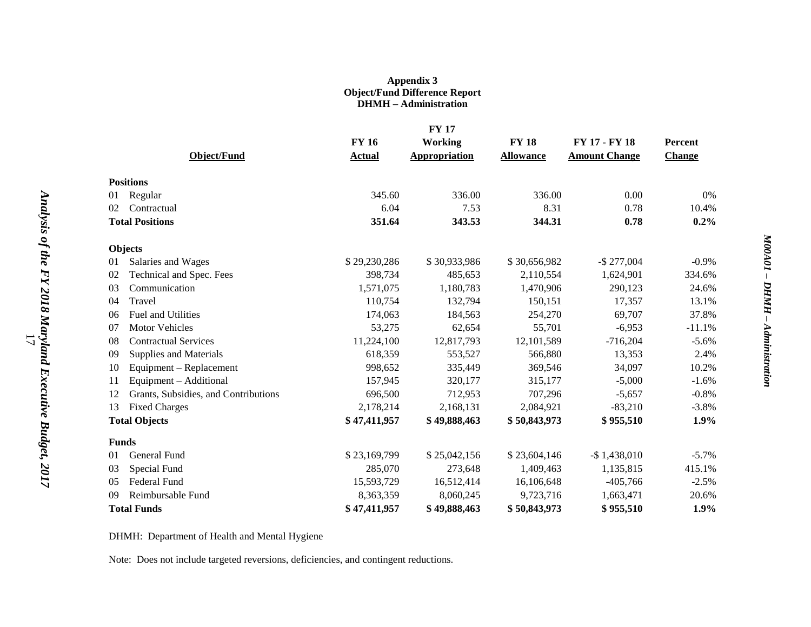#### **Appendix 3 Object/Fund Difference Report DHMH – Administration**

|                                            |               | <b>FY 17</b>         |                  |                      |               |
|--------------------------------------------|---------------|----------------------|------------------|----------------------|---------------|
|                                            | <b>FY 16</b>  | <b>Working</b>       | <b>FY 18</b>     | FY 17 - FY 18        | Percent       |
| <b>Object/Fund</b>                         | <b>Actual</b> | <b>Appropriation</b> | <b>Allowance</b> | <b>Amount Change</b> | <b>Change</b> |
| <b>Positions</b>                           |               |                      |                  |                      |               |
| Regular<br>01                              | 345.60        | 336.00               | 336.00           | 0.00                 | $0\%$         |
| 02<br>Contractual                          | 6.04          | 7.53                 | 8.31             | 0.78                 | 10.4%         |
| <b>Total Positions</b>                     | 351.64        | 343.53               | 344.31           | 0.78                 | 0.2%          |
| Objects                                    |               |                      |                  |                      |               |
| 01<br>Salaries and Wages                   | \$29,230,286  | \$30,933,986         | \$30,656,982     | $-$ \$ 277,004       | $-0.9\%$      |
| Technical and Spec. Fees<br>02             | 398,734       | 485,653              | 2,110,554        | 1,624,901            | 334.6%        |
| 03<br>Communication                        | 1,571,075     | 1,180,783            | 1,470,906        | 290,123              | 24.6%         |
| 04<br>Travel                               | 110,754       | 132,794              | 150,151          | 17,357               | 13.1%         |
| Fuel and Utilities<br>06                   | 174,063       | 184,563              | 254,270          | 69,707               | 37.8%         |
| <b>Motor Vehicles</b><br>07                | 53,275        | 62,654               | 55,701           | $-6,953$             | $-11.1%$      |
| <b>Contractual Services</b><br>08          | 11,224,100    | 12,817,793           | 12,101,589       | $-716,204$           | $-5.6\%$      |
| Supplies and Materials<br>09               | 618,359       | 553,527              | 566,880          | 13,353               | 2.4%          |
| Equipment - Replacement<br>10              | 998,652       | 335,449              | 369,546          | 34,097               | 10.2%         |
| Equipment - Additional<br>11               | 157,945       | 320,177              | 315,177          | $-5,000$             | $-1.6%$       |
| Grants, Subsidies, and Contributions<br>12 | 696,500       | 712,953              | 707,296          | $-5,657$             | $-0.8%$       |
| <b>Fixed Charges</b><br>13                 | 2,178,214     | 2,168,131            | 2,084,921        | $-83,210$            | $-3.8%$       |
| <b>Total Objects</b>                       | \$47,411,957  | \$49,888,463         | \$50,843,973     | \$955,510            | 1.9%          |
| <b>Funds</b>                               |               |                      |                  |                      |               |
| General Fund<br>01                         | \$23,169,799  | \$25,042,156         | \$23,604,146     | $-$ \$1,438,010      | $-5.7%$       |
| Special Fund<br>03                         | 285,070       | 273,648              | 1,409,463        | 1,135,815            | 415.1%        |
| <b>Federal Fund</b><br>0.5                 | 15,593,729    | 16,512,414           | 16,106,648       | $-405,766$           | $-2.5%$       |
| Reimbursable Fund<br>09                    | 8,363,359     | 8,060,245            | 9,723,716        | 1,663,471            | 20.6%         |
| <b>Total Funds</b>                         | \$47,411,957  | \$49,888,463         | \$50,843,973     | \$955,510            | 1.9%          |

DHMH: Department of Health and Mental Hygiene

Note: Does not include targeted reversions, deficiencies, and contingent reductions.